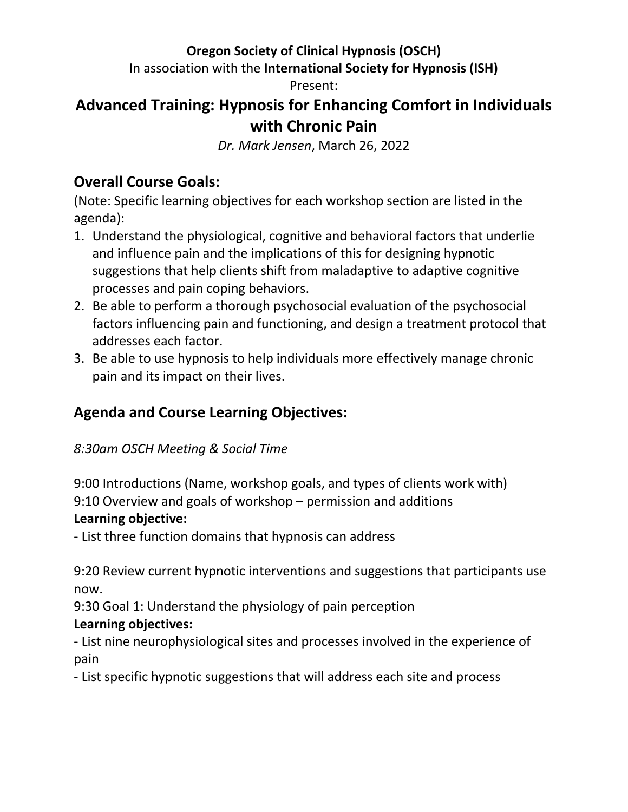### **Oregon Society of Clinical Hypnosis (OSCH)**

In association with the **International Society for Hypnosis (ISH)**

Present:

# **Advanced Training: Hypnosis for Enhancing Comfort in Individuals with Chronic Pain**

*Dr. Mark Jensen*, March 26, 2022

## **Overall Course Goals:**

(Note: Specific learning objectives for each workshop section are listed in the agenda):

- 1. Understand the physiological, cognitive and behavioral factors that underlie and influence pain and the implications of this for designing hypnotic suggestions that help clients shift from maladaptive to adaptive cognitive processes and pain coping behaviors.
- 2. Be able to perform a thorough psychosocial evaluation of the psychosocial factors influencing pain and functioning, and design a treatment protocol that addresses each factor.
- 3. Be able to use hypnosis to help individuals more effectively manage chronic pain and its impact on their lives.

## **Agenda and Course Learning Objectives:**

#### *8:30am OSCH Meeting & Social Time*

9:00 Introductions (Name, workshop goals, and types of clients work with) 9:10 Overview and goals of workshop – permission and additions **Learning objective:**

- List three function domains that hypnosis can address

9:20 Review current hypnotic interventions and suggestions that participants use now.

9:30 Goal 1: Understand the physiology of pain perception

#### **Learning objectives:**

- List nine neurophysiological sites and processes involved in the experience of pain

- List specific hypnotic suggestions that will address each site and process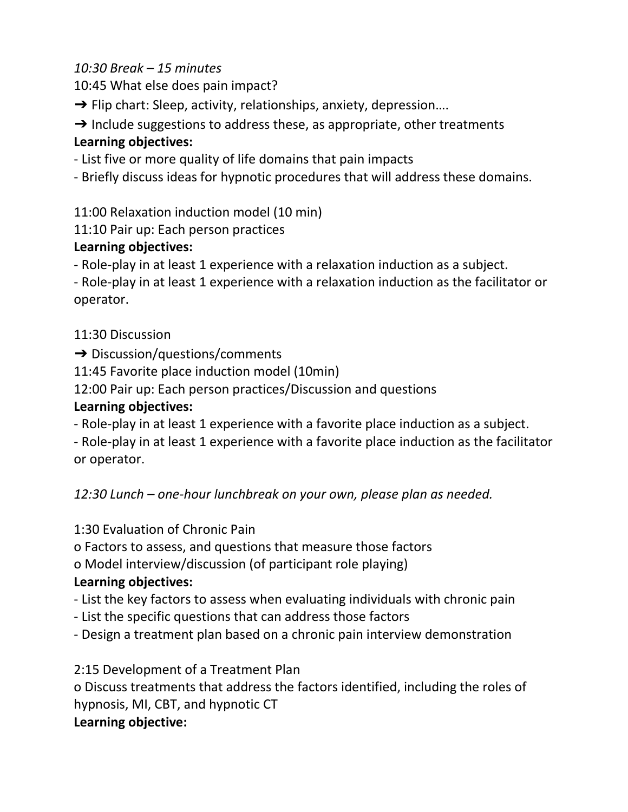#### *10:30 Break – 15 minutes*

10:45 What else does pain impact?

 $\rightarrow$  Flip chart: Sleep, activity, relationships, anxiety, depression....

 $\rightarrow$  Include suggestions to address these, as appropriate, other treatments **Learning objectives:**

- List five or more quality of life domains that pain impacts

- Briefly discuss ideas for hypnotic procedures that will address these domains.

11:00 Relaxation induction model (10 min)

11:10 Pair up: Each person practices

#### **Learning objectives:**

- Role-play in at least 1 experience with a relaxation induction as a subject.

- Role-play in at least 1 experience with a relaxation induction as the facilitator or operator.

#### 11:30 Discussion

➔ Discussion/questions/comments

11:45 Favorite place induction model (10min)

12:00 Pair up: Each person practices/Discussion and questions

#### **Learning objectives:**

- Role-play in at least 1 experience with a favorite place induction as a subject.

- Role-play in at least 1 experience with a favorite place induction as the facilitator or operator.

*12:30 Lunch – one-hour lunchbreak on your own, please plan as needed.*

1:30 Evaluation of Chronic Pain

o Factors to assess, and questions that measure those factors

o Model interview/discussion (of participant role playing)

#### **Learning objectives:**

- List the key factors to assess when evaluating individuals with chronic pain

- List the specific questions that can address those factors
- Design a treatment plan based on a chronic pain interview demonstration

2:15 Development of a Treatment Plan o Discuss treatments that address the factors identified, including the roles of hypnosis, MI, CBT, and hypnotic CT **Learning objective:**